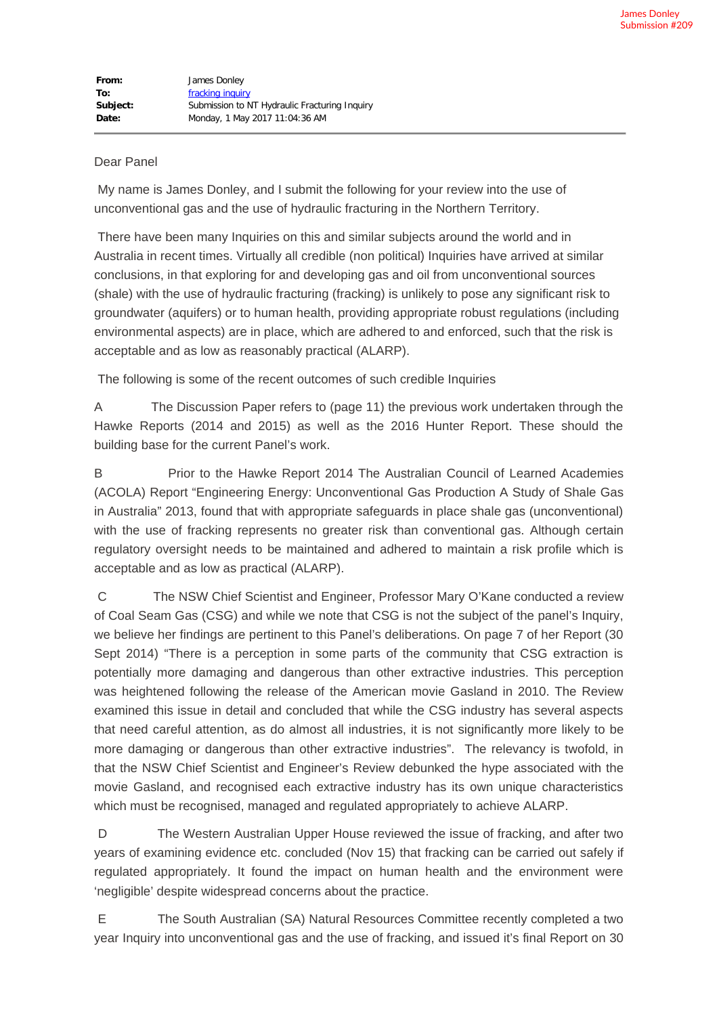## Dear Panel

My name is James Donley, and I submit the following for your review into the use of unconventional gas and the use of hydraulic fracturing in the Northern Territory.

There have been many Inquiries on this and similar subjects around the world and in Australia in recent times. Virtually all credible (non political) Inquiries have arrived at similar conclusions, in that exploring for and developing gas and oil from unconventional sources (shale) with the use of hydraulic fracturing (fracking) is unlikely to pose any significant risk to groundwater (aquifers) or to human health, providing appropriate robust regulations (including environmental aspects) are in place, which are adhered to and enforced, such that the risk is acceptable and as low as reasonably practical (ALARP).

The following is some of the recent outcomes of such credible Inquiries

A The Discussion Paper refers to (page 11) the previous work undertaken through the Hawke Reports (2014 and 2015) as well as the 2016 Hunter Report. These should the building base for the current Panel's work.

B Prior to the Hawke Report 2014 The Australian Council of Learned Academies (ACOLA) Report "Engineering Energy: Unconventional Gas Production A Study of Shale Gas in Australia" 2013, found that with appropriate safeguards in place shale gas (unconventional) with the use of fracking represents no greater risk than conventional gas. Although certain regulatory oversight needs to be maintained and adhered to maintain a risk profile which is acceptable and as low as practical (ALARP).

C The NSW Chief Scientist and Engineer, Professor Mary O'Kane conducted a review of Coal Seam Gas (CSG) and while we note that CSG is not the subject of the panel's Inquiry, we believe her findings are pertinent to this Panel's deliberations. On page 7 of her Report (30 Sept 2014) "There is a perception in some parts of the community that CSG extraction is potentially more damaging and dangerous than other extractive industries. This perception was heightened following the release of the American movie Gasland in 2010. The Review examined this issue in detail and concluded that while the CSG industry has several aspects that need careful attention, as do almost all industries, it is not significantly more likely to be more damaging or dangerous than other extractive industries". The relevancy is twofold, in that the NSW Chief Scientist and Engineer's Review debunked the hype associated with the movie Gasland, and recognised each extractive industry has its own unique characteristics which must be recognised, managed and regulated appropriately to achieve ALARP.

D The Western Australian Upper House reviewed the issue of fracking, and after two years of examining evidence etc. concluded (Nov 15) that fracking can be carried out safely if regulated appropriately. It found the impact on human health and the environment were 'negligible' despite widespread concerns about the practice.

E The South Australian (SA) Natural Resources Committee recently completed a two year Inquiry into unconventional gas and the use of fracking, and issued it's final Report on 30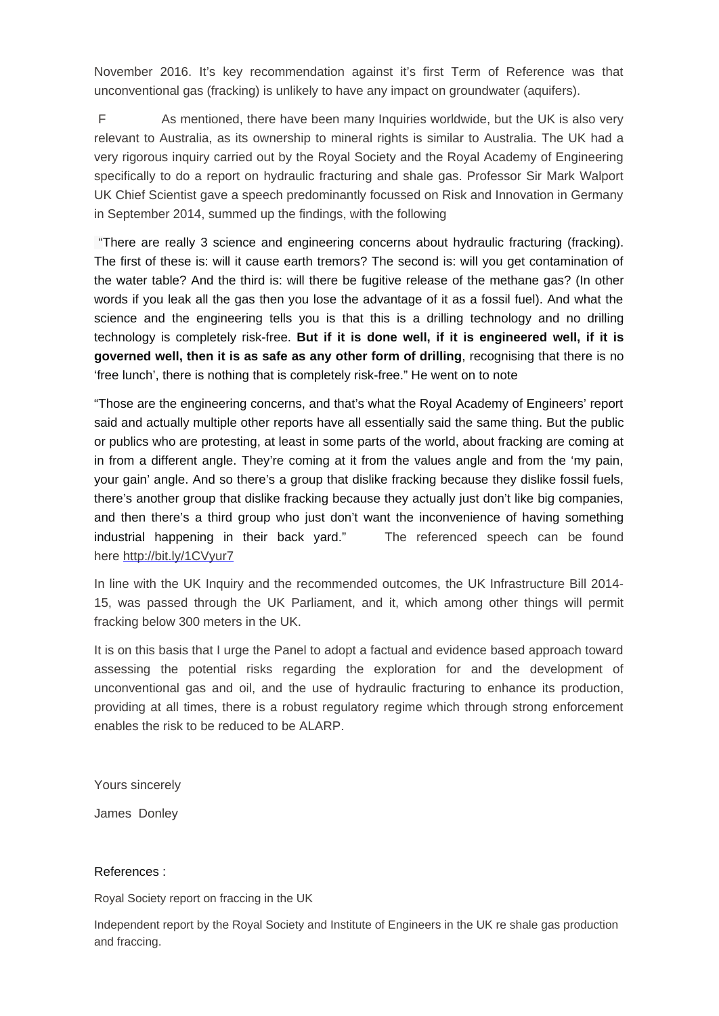November 2016. It's key recommendation against it's first Term of Reference was that unconventional gas (fracking) is unlikely to have any impact on groundwater (aquifers).

F As mentioned, there have been many Inquiries worldwide, but the UK is also very relevant to Australia, as its ownership to mineral rights is similar to Australia. The UK had a very rigorous inquiry carried out by the Royal Society and the Royal Academy of Engineering specifically to do a report on hydraulic fracturing and shale gas. Professor Sir Mark Walport UK Chief Scientist gave a speech predominantly focussed on Risk and Innovation in Germany in September 2014, summed up the findings, with the following

"There are really 3 science and engineering concerns about hydraulic fracturing (fracking). The first of these is: will it cause earth tremors? The second is: will you get contamination of the water table? And the third is: will there be fugitive release of the methane gas? (In other words if you leak all the gas then you lose the advantage of it as a fossil fuel). And what the science and the engineering tells you is that this is a drilling technology and no drilling technology is completely risk-free. **But if it is done well, if it is engineered well, if it is governed well, then it is as safe as any other form of drilling**, recognising that there is no 'free lunch', there is nothing that is completely risk-free." He went on to note

"Those are the engineering concerns, and that's what the Royal Academy of Engineers' report said and actually multiple other reports have all essentially said the same thing. But the public or publics who are protesting, at least in some parts of the world, about fracking are coming at in from a different angle. They're coming at it from the values angle and from the 'my pain, your gain' angle. And so there's a group that dislike fracking because they dislike fossil fuels, there's another group that dislike fracking because they actually just don't like big companies, and then there's a third group who just don't want the inconvenience of having something industrial happening in their back yard." The referenced speech can be found here [http://bit.ly/1CVyur7](https://protect-au.mimecast.com/s/Ld13B1H7zXz7Fz?domain=pesa.us9.list-manage2.com)

In line with the UK Inquiry and the recommended outcomes, the UK Infrastructure Bill 2014- 15, was passed through the UK Parliament, and it, which among other things will permit fracking below 300 meters in the UK.

It is on this basis that I urge the Panel to adopt a factual and evidence based approach toward assessing the potential risks regarding the exploration for and the development of unconventional gas and oil, and the use of hydraulic fracturing to enhance its production, providing at all times, there is a robust regulatory regime which through strong enforcement enables the risk to be reduced to be ALARP.

Yours sincerely

James Donley

## References :

Royal Society report on fraccing in the UK

Independent report by the Royal Society and Institute of Engineers in the UK re shale gas production and fraccing.